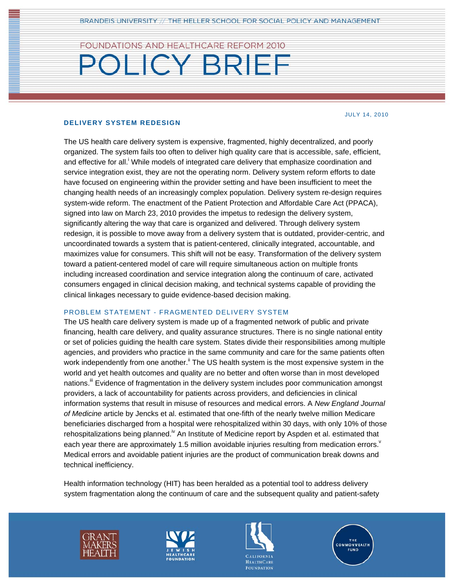## FOUNDATIONS AND HEALTHCARE REFORM 2010

# **POLICY BRIEF**

#### JULY 14, 2010

#### **DELIVERY SYSTEM REDESIGN**

The US health care delivery system is expensive, fragmented, highly decentralized, and poorly organized. The system fails too often to deliver high quality care that is accessible, safe, efficient, and effective for all.<sup>i</sup> While models of integrated care delivery that emphasize coordination and service integration exist, they are not the operating norm. Delivery system reform efforts to date have focused on engineering within the provider setting and have been insufficient to meet the changing health needs of an increasingly complex population. Delivery system re-design requires system-wide reform. The enactment of the Patient Protection and Affordable Care Act (PPACA), signed into law on March 23, 2010 provides the impetus to redesign the delivery system, significantly altering the way that care is organized and delivered. Through delivery system redesign, it is possible to move away from a delivery system that is outdated, provider-centric, and uncoordinated towards a system that is patient-centered, clinically integrated, accountable, and maximizes value for consumers. This shift will not be easy. Transformation of the delivery system toward a patient-centered model of care will require simultaneous action on multiple fronts including increased coordination and service integration along the continuum of care, activated consumers engaged in clinical decision making, and technical systems capable of providing the clinical linkages necessary to guide evidence-based decision making.

#### PROBLEM STATEMENT - FRAGMENTED DELIVERY SYSTEM

The US health care delivery system is made up of a fragmented network of public and private financing, health care delivery, and quality assurance structures. There is no single national entity or set of policies guiding the health care system. States divide their responsibilities among multiple agencies, and providers who practice in the same community and care for the same patients often work independently from one another.<sup>ii</sup> The US health system is the most expensive system in the world and yet health outcomes and quality are no better and often worse than in most developed nations.<sup>iii</sup> Evidence of fragmentation in the delivery system includes poor communication amongst providers, a lack of accountability for patients across providers, and deficiencies in clinical information systems that result in misuse of resources and medical errors. A *New England Journal of Medicine* article by Jencks et al. estimated that one-fifth of the nearly twelve million Medicare beneficiaries discharged from a hospital were rehospitalized within 30 days, with only 10% of those rehospitalizations being planned.<sup> $\kappa$ </sup> An Institute of Medicine report by Aspden et al. estimated that each year there are approximately 1.5 million avoidable injuries resulting from medication errors. Medical errors and avoidable patient injuries are the product of communication break downs and technical inefficiency.

Health information technology (HIT) has been heralded as a potential tool to address delivery system fragmentation along the continuum of care and the subsequent quality and patient-safety







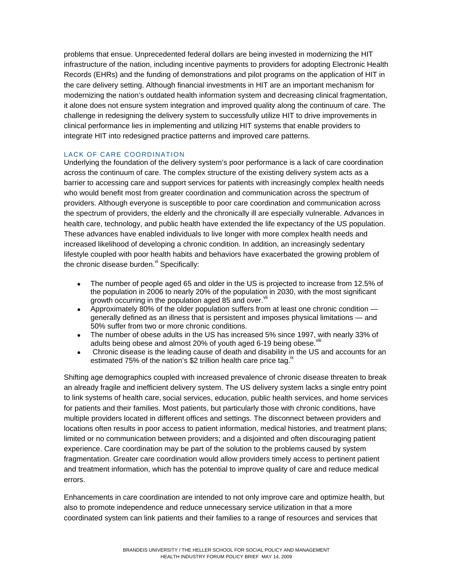problems that ensue. Unprecedented federal dollars are being invested in modernizing the HIT infrastructure of the nation, including incentive payments to providers for adopting Electronic Health Records (EHRs) and the funding of demonstrations and pilot programs on the application of HIT in the care delivery setting. Although financial investments in HIT are an important mechanism for modernizing the nation's outdated health information system and decreasing clinical fragmentation, it alone does not ensure system integration and improved quality along the continuum of care. The challenge in redesigning the delivery system to successfully utilize HIT to drive improvements in clinical performance lies in implementing and utilizing HIT systems that enable providers to integrate HIT into redesigned practice patterns and improved care patterns.

#### LACK OF CARE COORDINATION

Underlying the foundation of the delivery system's poor performance is a lack of care coordination across the continuum of care. The complex structure of the existing delivery system acts as a barrier to accessing care and support services for patients with increasingly complex health needs who would benefit most from greater coordination and communication across the spectrum of providers. Although everyone is susceptible to poor care coordination and communication across the spectrum of providers, the elderly and the chronically ill are especially vulnerable. Advances in health care, technology, and public health have extended the life expectancy of the US population. These advances have enabled individuals to live longer with more complex health needs and increased likelihood of developing a chronic condition. In addition, an increasingly sedentary lifestyle coupled with poor health habits and behaviors have exacerbated the growing problem of the chronic disease burden. $v_i$  Specifically:

- The number of people aged 65 and older in the US is projected to increase from 12.5% of the population in 2006 to nearly 20% of the population in 2030, with the most significant growth occurring in the population aged 85 and over. Vii
- Approximately 80% of the older population suffers from at least one chronic condition generally defined as an illness that is persistent and imposes physical limitations — and 50% suffer from two or more chronic conditions.
- The number of obese adults in the US has increased 5% since 1997, with nearly 33% of adults being obese and almost 20% of youth aged 6-19 being obese.
- Chronic disease is the leading cause of death and disability in the US and accounts for an estimated 75% of the nation's \$2 trillion health care price tag.<sup>18</sup>

Shifting age demographics coupled with increased prevalence of chronic disease threaten to break an already fragile and inefficient delivery system. The US delivery system lacks a single entry point to link systems of health care, social services, education, public health services, and home services for patients and their families. Most patients, but particularly those with chronic conditions, have multiple providers located in different offices and settings. The disconnect between providers and locations often results in poor access to patient information, medical histories, and treatment plans; limited or no communication between providers; and a disjointed and often discouraging patient experience. Care coordination may be part of the solution to the problems caused by system fragmentation. Greater care coordination would allow providers timely access to pertinent patient and treatment information, which has the potential to improve quality of care and reduce medical errors.

Enhancements in care coordination are intended to not only improve care and optimize health, but also to promote independence and reduce unnecessary service utilization in that a more coordinated system can link patients and their families to a range of resources and services that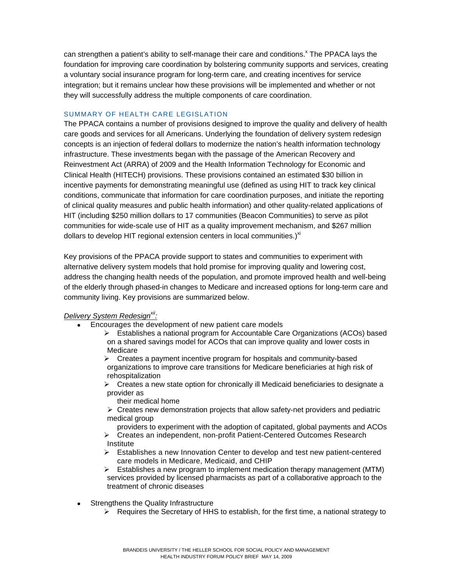can strengthen a patient's ability to self-manage their care and conditions.<sup>x</sup> The PPACA lays the foundation for improving care coordination by bolstering community supports and services, creating a voluntary social insurance program for long-term care, and creating incentives for service integration; but it remains unclear how these provisions will be implemented and whether or not they will successfully address the multiple components of care coordination.

#### SUMMARY OF HEALTH CARE LEGISLATION

The PPACA contains a number of provisions designed to improve the quality and delivery of health care goods and services for all Americans. Underlying the foundation of delivery system redesign concepts is an injection of federal dollars to modernize the nation's health information technology infrastructure. These investments began with the passage of the American Recovery and Reinvestment Act (ARRA) of 2009 and the Health Information Technology for Economic and Clinical Health (HITECH) provisions. These provisions contained an estimated \$30 billion in incentive payments for demonstrating meaningful use (defined as using HIT to track key clinical conditions, communicate that information for care coordination purposes, and initiate the reporting of clinical quality measures and public health information) and other quality-related applications of HIT (including \$250 million dollars to 17 communities (Beacon Communities) to serve as pilot communities for wide-scale use of HIT as a quality improvement mechanism, and \$267 million dollars to develop HIT regional extension centers in local communities.) $^{xi}$ 

Key provisions of the PPACA provide support to states and communities to experiment with alternative delivery system models that hold promise for improving quality and lowering cost, address the changing health needs of the population, and promote improved health and well-being of the elderly through phased-in changes to Medicare and increased options for long-term care and community living. Key provisions are summarized below.

### *Delivery System Redesignxii :*

- Encourages the development of new patient care models
	- ¾ Establishes a national program for Accountable Care Organizations (ACOs) based on a shared savings model for ACOs that can improve quality and lower costs in Medicare

 $\triangleright$  Creates a payment incentive program for hospitals and community-based organizations to improve care transitions for Medicare beneficiaries at high risk of rehospitalization

 $\triangleright$  Creates a new state option for chronically ill Medicaid beneficiaries to designate a provider as

their medical home

 $\triangleright$  Creates new demonstration projects that allow safety-net providers and pediatric medical group

providers to experiment with the adoption of capitated, global payments and ACOs ¾ Creates an independent, non-profit Patient-Centered Outcomes Research

- Institute
- ¾ Establishes a new Innovation Center to develop and test new patient-centered care models in Medicare, Medicaid, and CHIP
- $\triangleright$  Establishes a new program to implement medication therapy management (MTM) services provided by licensed pharmacists as part of a collaborative approach to the treatment of chronic diseases
- Strengthens the Quality Infrastructure
	- $\triangleright$  Requires the Secretary of HHS to establish, for the first time, a national strategy to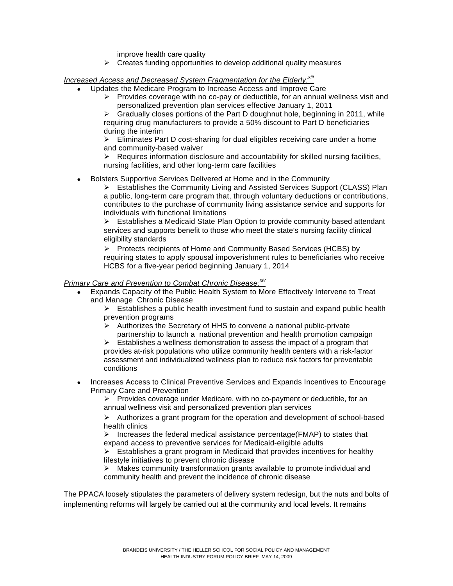improve health care quality

 $\triangleright$  Creates funding opportunities to develop additional quality measures

#### *Increased Access and Decreased System Fragmentation for the Elderly:xiii*

- Updates the Medicare Program to Increase Access and Improve Care
	- $\triangleright$  Provides coverage with no co-pay or deductible, for an annual wellness visit and personalized prevention plan services effective January 1, 2011

 $\triangleright$  Gradually closes portions of the Part D doughnut hole, beginning in 2011, while requiring drug manufacturers to provide a 50% discount to Part D beneficiaries during the interim

 $\triangleright$  Eliminates Part D cost-sharing for dual eligibles receiving care under a home and community-based waiver

 $\triangleright$  Requires information disclosure and accountability for skilled nursing facilities, nursing facilities, and other long-term care facilities

• Bolsters Supportive Services Delivered at Home and in the Community

¾ Establishes the Community Living and Assisted Services Support (CLASS) Plan a public, long-term care program that, through voluntary deductions or contributions, contributes to the purchase of community living assistance service and supports for individuals with functional limitations

¾ Establishes a Medicaid State Plan Option to provide community‐based attendant services and supports benefit to those who meet the state's nursing facility clinical eligibility standards

¾ Protects recipients of Home and Community Based Services (HCBS) by requiring states to apply spousal impoverishment rules to beneficiaries who receive HCBS for a five-year period beginning January 1, 2014

#### *Primary Care and Prevention to Combat Chronic Disease:xiv*

- Expands Capacity of the Public Health System to More Effectively Intervene to Treat and Manage Chronic Disease
	- $\triangleright$  Establishes a public health investment fund to sustain and expand public health prevention programs
	- ¾ Authorizes the Secretary of HHS to convene a national public-private partnership to launch a national prevention and health promotion campaign

 $\triangleright$  Establishes a wellness demonstration to assess the impact of a program that provides at-risk populations who utilize community health centers with a risk-factor assessment and individualized wellness plan to reduce risk factors for preventable conditions

• Increases Access to Clinical Preventive Services and Expands Incentives to Encourage Primary Care and Prevention

¾ Provides coverage under Medicare, with no co-payment or deductible, for an annual wellness visit and personalized prevention plan services

 $\triangleright$  Authorizes a grant program for the operation and development of school-based health clinics

 $\triangleright$  Increases the federal medical assistance percentage(FMAP) to states that expand access to preventive services for Medicaid-eligible adults

 $\triangleright$  Establishes a grant program in Medicaid that provides incentives for healthy lifestyle initiatives to prevent chronic disease

 $\triangleright$  Makes community transformation grants available to promote individual and community health and prevent the incidence of chronic disease

The PPACA loosely stipulates the parameters of delivery system redesign, but the nuts and bolts of implementing reforms will largely be carried out at the community and local levels. It remains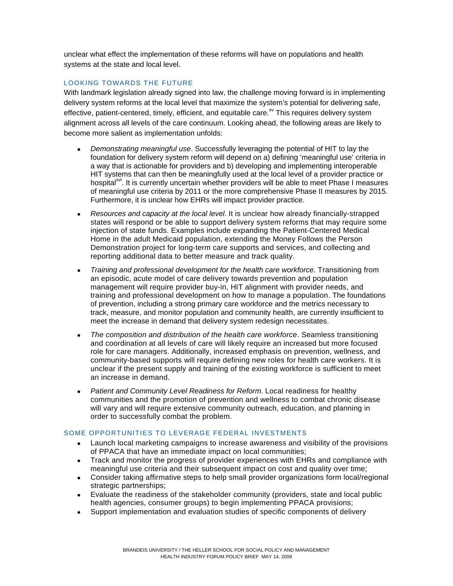unclear what effect the implementation of these reforms will have on populations and health systems at the state and local level.

## LOOKING TOWARDS THE FUTURE

With landmark legislation already signed into law, the challenge moving forward is in implementing delivery system reforms at the local level that maximize the system's potential for delivering safe, effective, patient-centered, timely, efficient, and equitable care.<sup>xv</sup> This requires delivery system alignment across all levels of the care continuum. Looking ahead, the following areas are likely to become more salient as implementation unfolds:

- *Demonstrating meaningful use*. Successfully leveraging the potential of HIT to lay the foundation for delivery system reform will depend on a) defining 'meaningful use' criteria in a way that is actionable for providers and b) developing and implementing interoperable HIT systems that can then be meaningfully used at the local level of a provider practice or hospital<sup>xvi</sup>. It is currently uncertain whether providers will be able to meet Phase I measures of meaningful use criteria by 2011 or the more comprehensive Phase II measures by 2015. Furthermore, it is unclear how EHRs will impact provider practice.
- *Resources and capacity at the local level*. It is unclear how already financially-strapped states will respond or be able to support delivery system reforms that may require some injection of state funds. Examples include expanding the Patient-Centered Medical Home in the adult Medicaid population, extending the Money Follows the Person Demonstration project for long-term care supports and services, and collecting and reporting additional data to better measure and track quality.
- *Training and professional development for the health care workforce.* Transitioning from an episodic, acute model of care delivery towards prevention and population management will require provider buy-in, HIT alignment with provider needs, and training and professional development on how to manage a population. The foundations of prevention, including a strong primary care workforce and the metrics necessary to track, measure, and monitor population and community health, are currently insufficient to meet the increase in demand that delivery system redesign necessitates.
- *The composition and distribution of the health care workforce*. Seamless transitioning and coordination at all levels of care will likely require an increased but more focused role for care managers. Additionally, increased emphasis on prevention, wellness, and community-based supports will require defining new roles for health care workers. It is unclear if the present supply and training of the existing workforce is sufficient to meet an increase in demand.
- *Patient and Community Level Readiness for Reform*. Local readiness for healthy communities and the promotion of prevention and wellness to combat chronic disease will vary and will require extensive community outreach, education, and planning in order to successfully combat the problem.

#### SOME OPPORTUNITIES TO LEVERAGE FEDERAL INVESTMENTS

- Launch local marketing campaigns to increase awareness and visibility of the provisions of PPACA that have an immediate impact on local communities;
- Track and monitor the progress of provider experiences with EHRs and compliance with meaningful use criteria and their subsequent impact on cost and quality over time;
- Consider taking affirmative steps to help small provider organizations form local/regional strategic partnerships;
- Evaluate the readiness of the stakeholder community (providers, state and local public health agencies, consumer groups) to begin implementing PPACA provisions;
- Support implementation and evaluation studies of specific components of delivery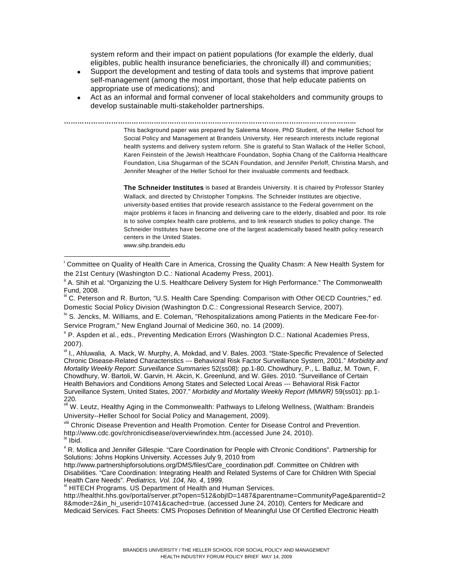system reform and their impact on patient populations (for example the elderly, dual eligibles, public health insurance beneficiaries, the chronically ill) and communities;

- Support the development and testing of data tools and systems that improve patient self-management (among the most important, those that help educate patients on appropriate use of medications); and
- Act as an informal and formal convener of local stakeholders and community groups to develop sustainable multi-stakeholder partnerships.

**……………………………….………………………………………………………………………………...** This background paper was prepared by Saleema Moore, PhD Student, of the Heller School for Social Policy and Management at Brandeis University. Her research interests include regional

health systems and delivery system reform. She is grateful to Stan Wallack of the Heller School, Karen Feinstein of the Jewish Healthcare Foundation, Sophia Chang of the California Healthcare Foundation, Lisa Shugarman of the SCAN Foundation, and Jennifer Perloff, Christina Marsh, and Jennifer Meagher of the Heller School for their invaluable comments and feedback.

**The Schneider Institutes** is based at Brandeis University. It is chaired by Professor Stanley Wallack, and directed by Christopher Tompkins. The Schneider Institutes are objective, university-based entities that provide research assistance to the Federal government on the major problems it faces in financing and delivering care to the elderly, disabled and poor. Its role is to solve complex health care problems, and to link research studies to policy change. The Schneider Institutes have become one of the largest academically based health policy research centers in the United States.

www.sihp.brandeis.edu

 $\overline{1}$ 

<sup>iv</sup> S. Jencks, M. Williams, and E. Coleman, "Rehospitalizations among Patients in the Medicare Fee-for-Service Program," New England Journal of Medicine 360, no. 14 (2009).

vi I., Ahluwalia, A. Mack, W. Murphy, A. Mokdad, and V. Bales. 2003. "State-Specific Prevalence of Selected Chronic Disease-Related Characteristics --- Behavioral Risk Factor Surveillance System, 2001." *Morbidity and Mortality Weekly Report: Surveillance Summaries* 52(ss08): pp.1-80. Chowdhury, P., L. Balluz, M. Town, F. Chowdhury, W. Bartoli, W. Garvin, H. Akcin, K. Greenlund, and W. Giles. 2010. "Surveillance of Certain Health Behaviors and Conditions Among States and Selected Local Areas --- Behavioral Risk Factor Surveillance System, United States, 2007." *Morbidity and Mortality Weekly Report (MMWR)* 59(ss01): pp.1- 220.

vii W. Leutz, Healthy Aging in the Commonwealth: Pathways to Lifelong Wellness, (Waltham: Brandeis University--Heller School for Social Policy and Management, 2009).

viii Chronic Disease Prevention and Health Promotion. Center for Disease Control and Prevention. http://www.cdc.gov/chronicdisease/overview/index.htm.(accessed June 24, 2010).<br><sup>ix</sup> Ibid.

<sup>x</sup> R. Mollica and Jennifer Gillespie. "Care Coordination for People with Chronic Conditions". Partnership for Solutions: Johns Hopkins University. Accesses July 9, 2010 from

http://www.partnershipforsolutions.org/DMS/files/Care\_coordination.pdf. Committee on Children with Disabilities. "Care Coordination: Integrating Health and Related Systems of Care for Children With Special Health Care Needs". Pediatrics, Vol. 104, No. 4, 1999.

<sup>xi</sup> HITECH Programs. US Department of Health and Human Services.

http://healthit.hhs.gov/portal/server.pt?open=512&objID=1487&parentname=CommunityPage&parentid=2 8&mode=2&in\_hi\_userid=10741&cached=true. (accessed June 24, 2010). Centers for Medicare and Medicaid Services. Fact Sheets: CMS Proposes Definition of Meaningful Use Of Certified Electronic Health

<sup>&</sup>lt;sup>i</sup> Committee on Quality of Health Care in America, Crossing the Quality Chasm: A New Health System for the 21st Century (Washington D.C.: National Academy Press, 2001).

<sup>&</sup>lt;sup>ii</sup> A. Shih et al. "Organizing the U.S. Healthcare Delivery System for High Performance." The Commonwealth Fund, 2008.

C. Peterson and R. Burton, "U.S. Health Care Spending: Comparison with Other OECD Countries," ed. Domestic Social Policy Division (Washington D.C.: Congressional Research Service, 2007).

<sup>&</sup>lt;sup>v</sup> P. Aspden et al., eds., Preventing Medication Errors (Washington D.C.: National Academies Press, 2007).